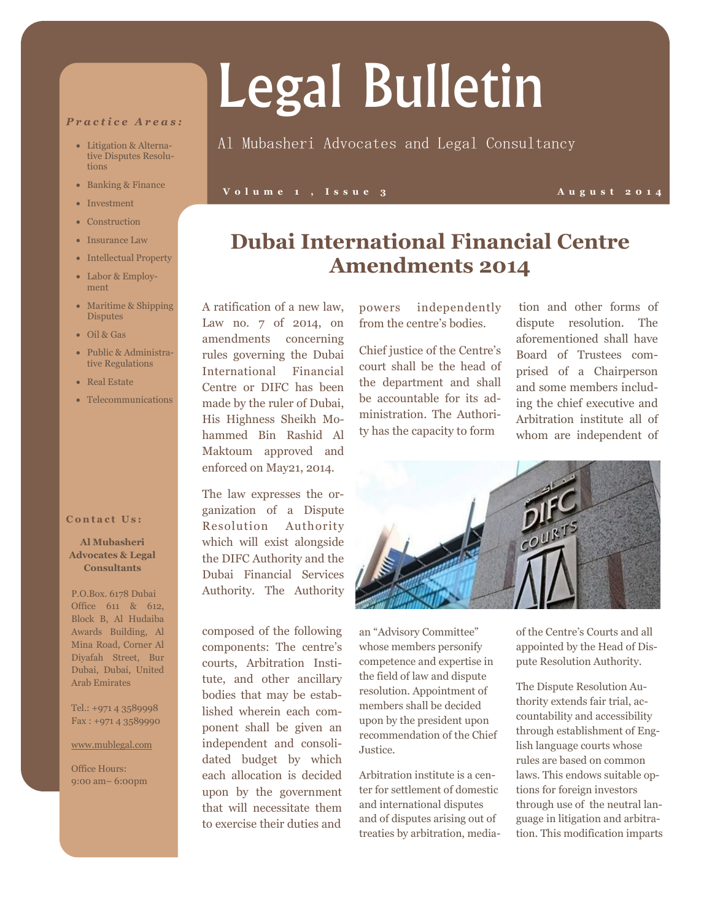#### *P r a c t i c e A r e a s :*

- Litigation & Alternative Disputes Resolutions
- Banking & Finance
- Investment
- Construction
- Insurance Law
- Intellectual Property
- Labor & Employment
- Maritime & Shipping **Disputes**
- Oil & Gas
- Public & Administrative Regulations
- Real Estate
- Telecommunications

#### **Contact Us:**

#### **Al Mubasheri Advocates & Legal Consultants**

P.O.Box. 6178 Dubai Office 611 & 612, Block B, Al Hudaiba Awards Building, Al Mina Road, Corner Al Diyafah Street, Bur Dubai, Dubai, United Arab Emirates

Tel.: +971 4 3589998 Fax : +971 4 3589990

#### www.mublegal.com

Office Hours: 9:00 am– 6:00pm

#### A ratification of a new law, Law no. 7 of 2014, on amendments concerning rules governing the Dubai International Financial Centre or DIFC has been made by the ruler of Dubai, His Highness Sheikh Mohammed Bin Rashid Al Maktoum approved and enforced on May21, 2014.

The law expresses the organization of a Dispute Resolution Authority which will exist alongside the DIFC Authority and the Dubai Financial Services Authority. The Authority

composed of the following components: The centre's courts, Arbitration Institute, and other ancillary bodies that may be established wherein each component shall be given an independent and consolidated budget by which each allocation is decided upon by the government that will necessitate them to exercise their duties and

powers independently from the centre's bodies.

**Dubai International Financial Centre**

**Amendments 2014**

Chief justice of the Centre's court shall be the head of the department and shall be accountable for its administration. The Authority has the capacity to form

tion and other forms of dispute resolution. The aforementioned shall have Board of Trustees comprised of a Chairperson and some members including the chief executive and Arbitration institute all of whom are independent of



an "Advisory Committee" whose members personify competence and expertise in the field of law and dispute resolution. Appointment of members shall be decided upon by the president upon recommendation of the Chief Justice.

Arbitration institute is a center for settlement of domestic and international disputes and of disputes arising out of treaties by arbitration, mediaof the Centre's Courts and all appointed by the Head of Dispute Resolution Authority.

The Dispute Resolution Authority extends fair trial, accountability and accessibility through establishment of English language courts whose rules are based on common laws. This endows suitable options for foreign investors through use of the neutral language in litigation and arbitration. This modification imparts

## Legal Bulletin

### Al Mubasheri Advocates and Legal Consultancy

#### **V o l u m e 1 , I s s u e 3 A u g u s t 2 0 1 4**